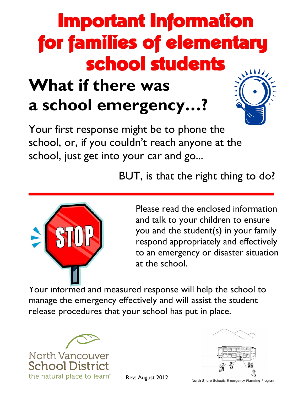#### **Important Information** for families of elementary school students **What if there was**

**a school emergency…?**



Your first response might be to phone the school, or, if you couldn't reach anyone at the school, just get into your car and go...

BUT, is that the right thing to do?



Please read the enclosed information and talk to your children to ensure you and the student(s) in your family respond appropriately and effectively to an emergency or disaster situation at the school.

Your informed and measured response will help the school to manage the emergency effectively and will assist the student release procedures that your school has put in place.





Rev: August 2012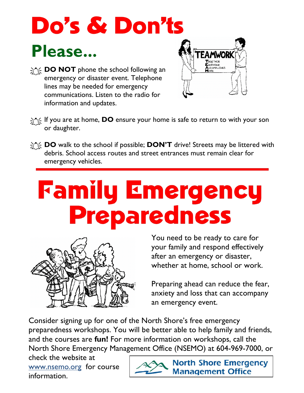#### **Do's & Don'ts** Please...

**DO NOT** phone the school following an emergency or disaster event. Telephone lines may be needed for emergency communications. Listen to the radio for information and updates.



- f<sub>i</sub> if you are at home, **DO** ensure your home is safe to return to with your son or daughter.
- **DO** walk to the school if possible; **DON'T** drive! Streets may be littered with debris. School access routes and street entrances must remain clear for emergency vehicles.

### **Family Emergency Preparedness**



You need to be ready to care for your family and respond effectively after an emergency or disaster, whether at home, school or work.

Preparing ahead can reduce the fear, anxiety and loss that can accompany an emergency event.

Consider signing up for one of the North Shore's free emergency preparedness workshops. You will be better able to help family and friends, and the courses are **fun!** For more information on workshops, call the North Shore Emergency Management Office (NSEMO) at 604-969-7000, or

check the website at www.nsemo.org for course information.

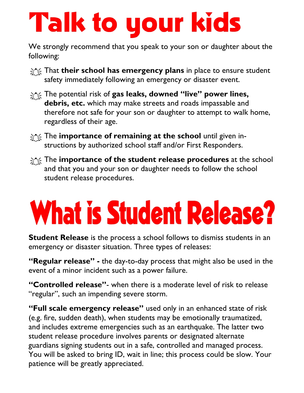## **Talk to your kids**

We strongly recommend that you speak to your son or daughter about the following:

- that **their school has emergency plans** in place to ensure student safety immediately following an emergency or disaster event.
- The potential risk of **gas leaks, downed "live" power lines, debris, etc.** which may make streets and roads impassable and therefore not safe for your son or daughter to attempt to walk home, regardless of their age.
- $\gamma$  The **importance of remaining at the school** until given instructions by authorized school staff and/or First Responders.
- form The **importance of the student release procedures** at the school and that you and your son or daughter needs to follow the school student release procedures.

# **What is Student Release?**

**Student Release** is the process a school follows to dismiss students in an emergency or disaster situation. Three types of releases:

**"Regular release" -** the day-to-day process that might also be used in the event of a minor incident such as a power failure.

**"Controlled release"**- when there is a moderate level of risk to release "regular", such an impending severe storm.

**"Full scale emergency release"** used only in an enhanced state of risk (e.g. fire, sudden death), when students may be emotionally traumatized, and includes extreme emergencies such as an earthquake. The latter two student release procedure involves parents or designated alternate guardians signing students out in a safe, controlled and managed process. You will be asked to bring ID, wait in line; this process could be slow. Your patience will be greatly appreciated.